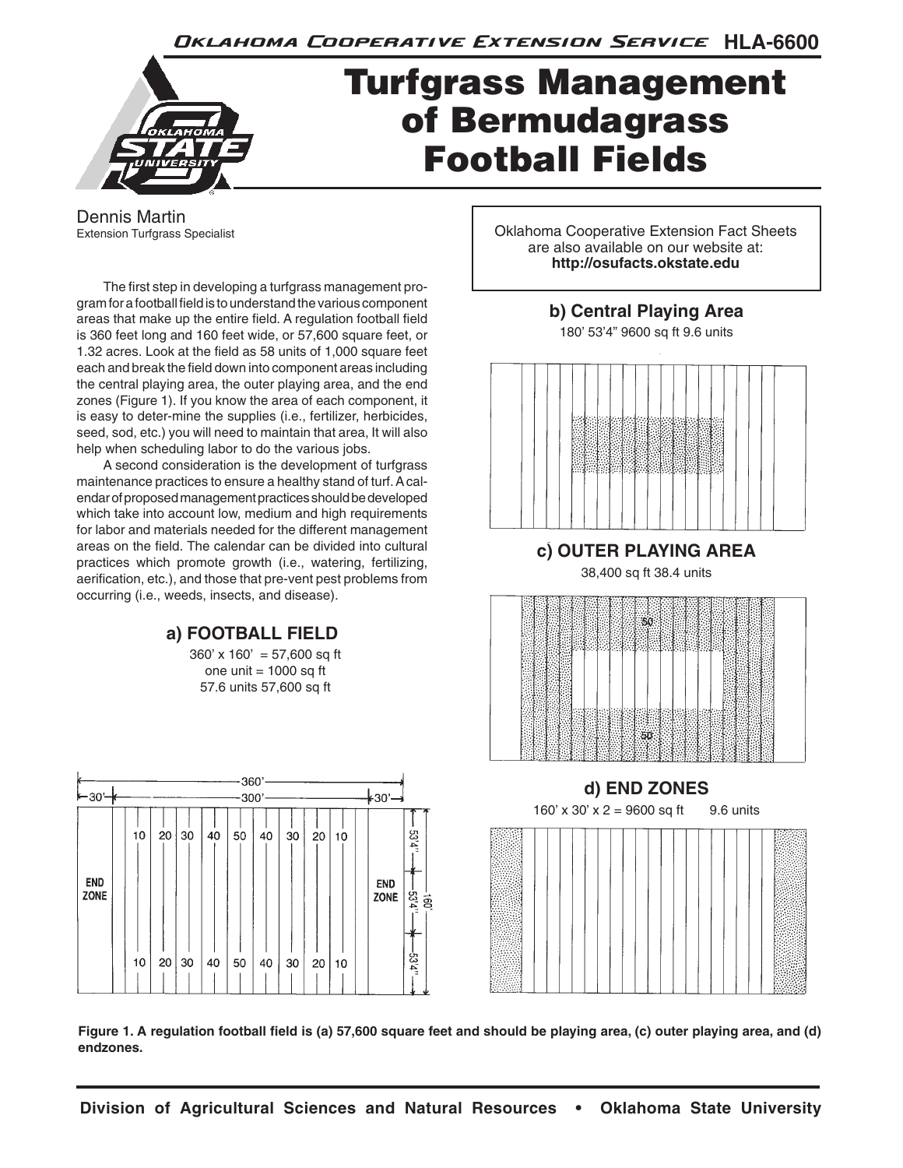Oklahoma Cooperative Extension Service HLA-6600



# Turfgrass Management of Bermudagrass Football Fields

Dennis Martin Extension Turfgrass Specialist

The first step in developing a turfgrass management program for a football field is to understand the various component areas that make up the entire field. A regulation football field is 360 feet long and 160 feet wide, or 57,600 square feet, or 1.32 acres. Look at the field as 58 units of 1,000 square feet each and break the field down into component areas including the central playing area, the outer playing area, and the end zones (Figure 1). If you know the area of each component, it is easy to deter-mine the supplies (i.e., fertilizer, herbicides, seed, sod, etc.) you will need to maintain that area, It will also help when scheduling labor to do the various jobs.

A second consideration is the development of turfgrass maintenance practices to ensure a healthy stand of turf. A calendar of proposed management practices should be developed which take into account low, medium and high requirements for labor and materials needed for the different management areas on the field. The calendar can be divided into cultural practices which promote growth (i.e., watering, fertilizing, aerification, etc.), and those that pre-vent pest problems from occurring (i.e., weeds, insects, and disease).

# **a) FOOTBALL FIELD**

 $360'$  x  $160' = 57,600$  sq ft one unit  $= 1000$  sq ft 57.6 units 57,600 sq ft



Oklahoma Cooperative Extension Fact Sheets are also available on our website at: **http://osufacts.okstate.edu**

# **b) Central Playing Area**

180' 53'4" 9600 sq ft 9.6 units



**c) OUTER PLAYING AREA**

38,400 sq ft 38.4 units





**Figure 1. A regulation football field is (a) 57,600 square feet and should be playing area, (c) outer playing area, and (d) endzones.**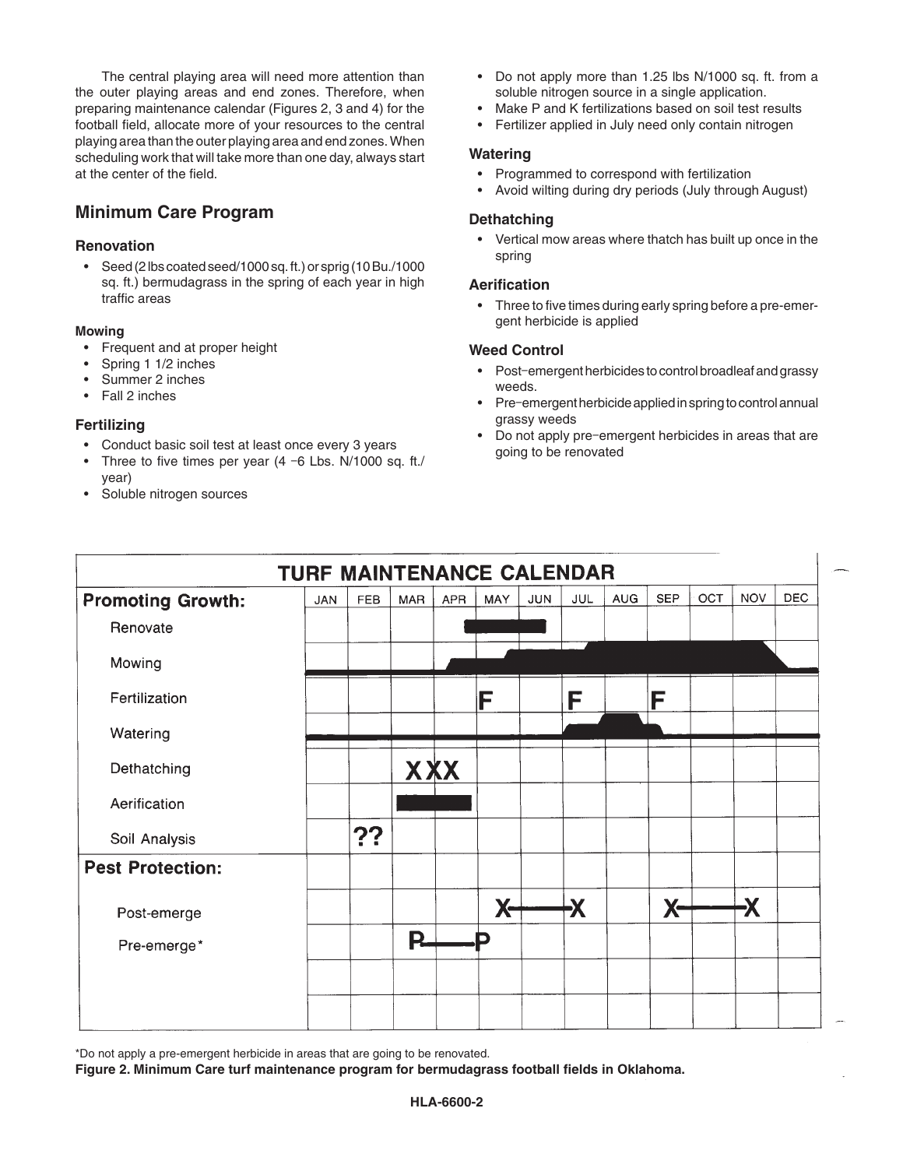The central playing area will need more attention than the outer playing areas and end zones. Therefore, when preparing maintenance calendar (Figures 2, 3 and 4) for the football field, allocate more of your resources to the central playing area than the outer playing area and end zones. When scheduling work that will take more than one day, always start at the center of the field.

# **Minimum Care Program**

#### **Renovation**

• Seed (2 lbs coated seed/1000 sq. ft.) or sprig (10 Bu./1000 sq. ft.) bermudagrass in the spring of each year in high traffic areas

#### **Mowing**

- Frequent and at proper height
- Spring 1 1/2 inches
- Summer 2 inches
- Fall 2 inches

# **Fertilizing**

- Conduct basic soil test at least once every 3 years
- Three to five times per year (4 -6 Lbs. N/1000 sq. ft./ year)
- Soluble nitrogen sources
- Do not apply more than 1.25 lbs N/1000 sq. ft. from a soluble nitrogen source in a single application.
- Make P and K fertilizations based on soil test results
- Fertilizer applied in July need only contain nitrogen

#### **Watering**

- Programmed to correspond with fertilization
- Avoid wilting during dry periods (July through August)

#### **Dethatching**

• Vertical mow areas where thatch has built up once in the spring

## **Aerification**

• Three to five times during early spring before a pre-emergent herbicide is applied

## **Weed Control**

- Post-emergent herbicides to control broadleaf and grassy weeds.
- Pre-emergent herbicide applied in spring to control annual grassy weeds
- Do not apply pre-emergent herbicides in areas that are going to be renovated

| TURF MAINTENANCE CALENDAR |            |            |            |            |           |            |     |            |            |     |            |            |
|---------------------------|------------|------------|------------|------------|-----------|------------|-----|------------|------------|-----|------------|------------|
| <b>Promoting Growth:</b>  | <b>JAN</b> | <b>FEB</b> | <b>MAR</b> | <b>APR</b> | MAY       | <b>JUN</b> | JUL | <b>AUG</b> | <b>SEP</b> | OCT | <b>NOV</b> | <b>DEC</b> |
| Renovate                  |            |            |            |            |           |            |     |            |            |     |            |            |
| Mowing                    |            |            |            |            |           |            |     |            |            |     |            |            |
| Fertilization             |            |            |            |            | F         |            | F   |            | F          |     |            |            |
| Watering                  |            |            |            |            |           |            |     |            |            |     |            |            |
| Dethatching               |            |            | <b>XXX</b> |            |           |            |     |            |            |     |            |            |
| Aerification              |            |            |            |            |           |            |     |            |            |     |            |            |
| Soil Analysis             |            | ??         |            |            |           |            |     |            |            |     |            |            |
| <b>Pest Protection:</b>   |            |            |            |            |           |            |     |            |            |     |            |            |
| Post-emerge               |            |            |            |            | <b>X-</b> |            | Х   |            | <b>X-</b>  |     | Ӿ          |            |
| Pre-emerge*               |            |            | <b>P.</b>  |            | D         |            |     |            |            |     |            |            |
|                           |            |            |            |            |           |            |     |            |            |     |            |            |
|                           |            |            |            |            |           |            |     |            |            |     |            |            |

\*Do not apply a pre-emergent herbicide in areas that are going to be renovated.

**Figure 2. Minimum Care turf maintenance program for bermudagrass football fields in Oklahoma.**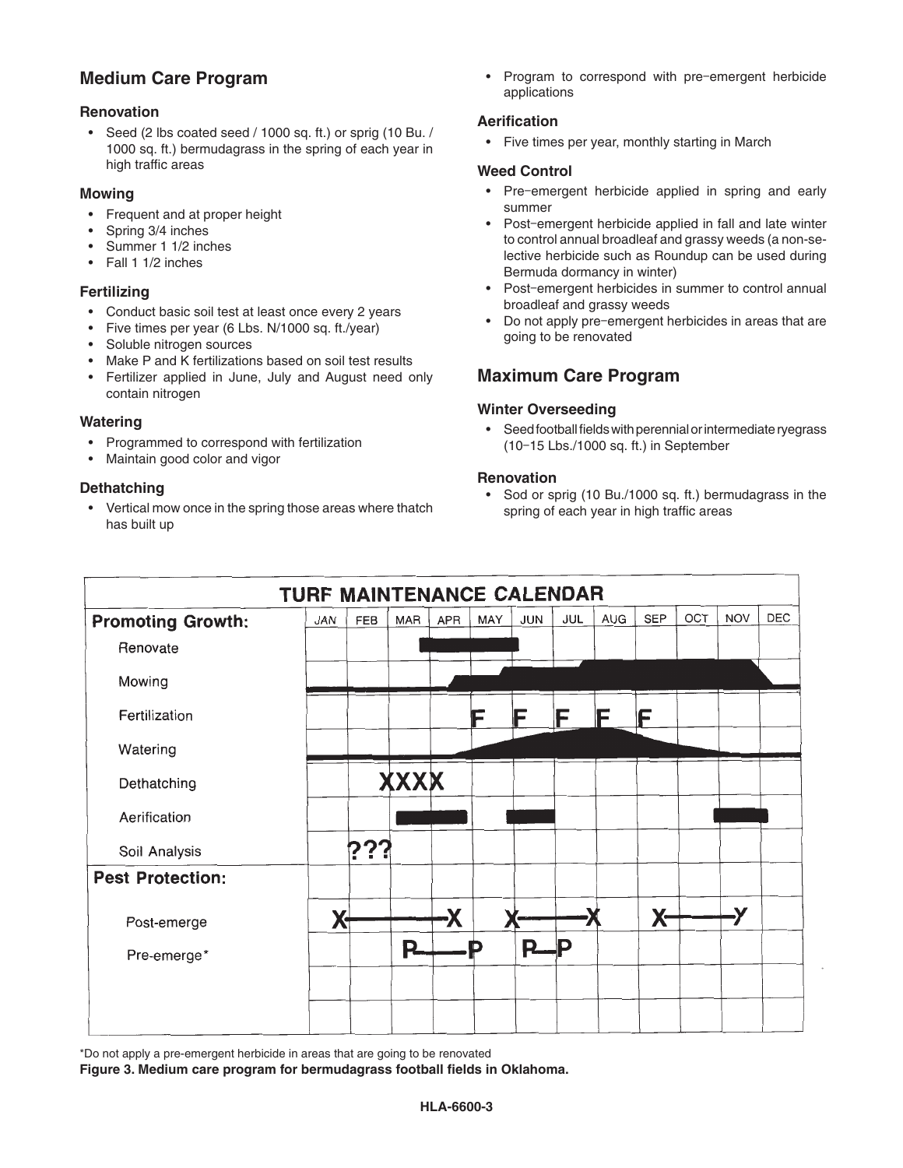# **Medium Care Program**

## **Renovation**

• Seed (2 lbs coated seed / 1000 sq. ft.) or sprig (10 Bu. / 1000 sq. ft.) bermudagrass in the spring of each year in high traffic areas

#### **Mowing**

- Frequent and at proper height
- Spring 3/4 inches
- Summer 1 1/2 inches
- Fall 1 1/2 inches

#### **Fertilizing**

- Conduct basic soil test at least once every 2 years
- Five times per year (6 Lbs. N/1000 sq. ft./year)
- Soluble nitrogen sources
- Make P and K fertilizations based on soil test results
- Fertilizer applied in June, July and August need only contain nitrogen

## **Watering**

- Programmed to correspond with fertilization
- Maintain good color and vigor

#### **Dethatching**

• Vertical mow once in the spring those areas where thatch has built up

• Program to correspond with pre‑emergent herbicide applications

#### **Aerification**

• Five times per year, monthly starting in March

#### **Weed Control**

- Pre-emergent herbicide applied in spring and early summer
- Post-emergent herbicide applied in fall and late winter to control annual broadleaf and grassy weeds (a non-selective herbicide such as Roundup can be used during Bermuda dormancy in winter)
- Post-emergent herbicides in summer to control annual broadleaf and grassy weeds
- Do not apply pre-emergent herbicides in areas that are going to be renovated

# **Maximum Care Program**

## **Winter Overseeding**

• Seed football fields with perennial or intermediate ryegrass (10‑15 Lbs./1000 sq. ft.) in September

#### **Renovation**

• Sod or sprig (10 Bu./1000 sq. ft.) bermudagrass in the spring of each year in high traffic areas



\*Do not apply a pre-emergent herbicide in areas that are going to be renovated

**Figure 3. Medium care program for bermudagrass football fields in Oklahoma.**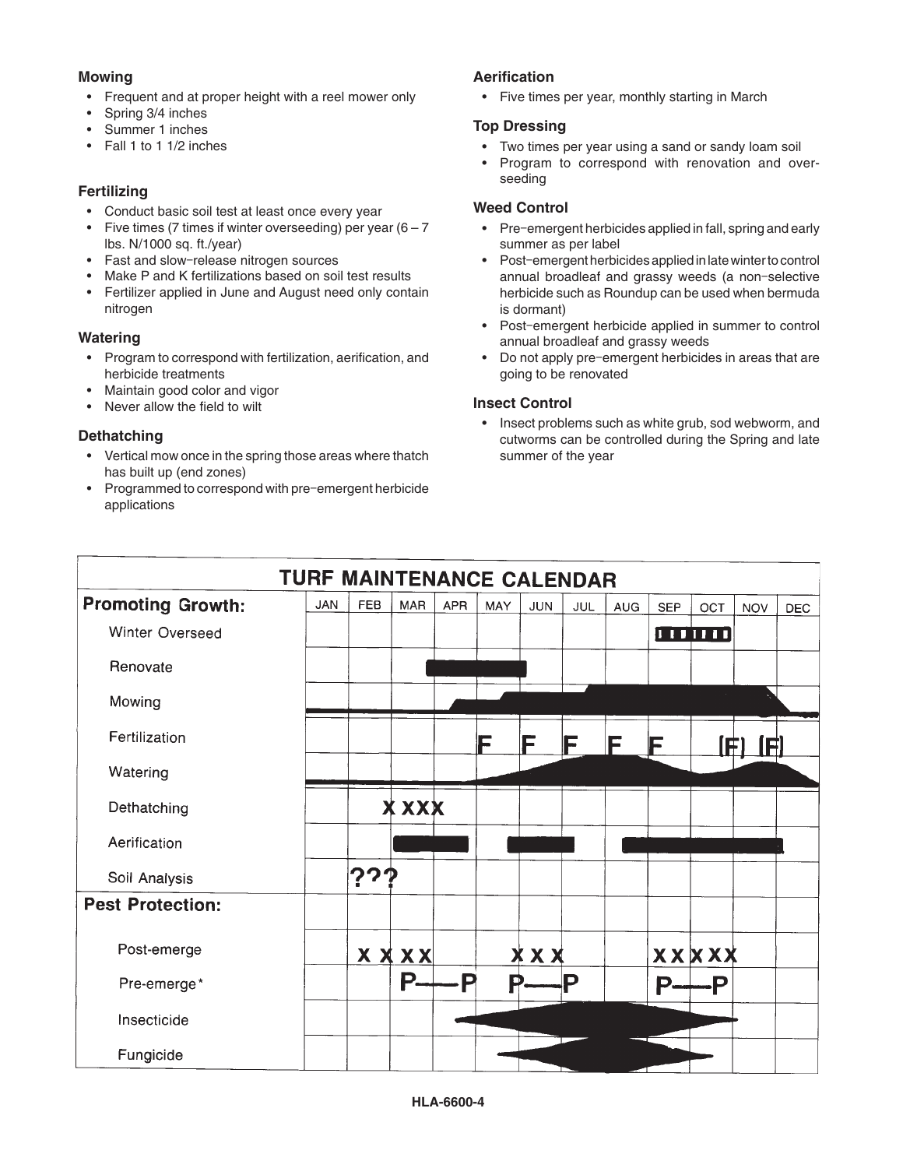# **Mowing**

- Frequent and at proper height with a reel mower only
- Spring 3/4 inches
- Summer 1 inches
- Fall 1 to 1 1/2 inches

# **Fertilizing**

- Conduct basic soil test at least once every year
- Five times (7 times if winter overseeding) per year  $(6 7)$ lbs. N/1000 sq. ft./year)
- Fast and slow-release nitrogen sources
- Make P and K fertilizations based on soil test results
- Fertilizer applied in June and August need only contain nitrogen

# **Watering**

- Program to correspond with fertilization, aerification, and herbicide treatments
- Maintain good color and vigor
- Never allow the field to wilt

# **Dethatching**

- Vertical mow once in the spring those areas where thatch has built up (end zones)
- Programmed to correspond with pre-emergent herbicide applications

# **Aerification**

• Five times per year, monthly starting in March

# **Top Dressing**

- Two times per year using a sand or sandy loam soil
- Program to correspond with renovation and overseeding

# **Weed Control**

- Pre-emergent herbicides applied in fall, spring and early summer as per label
- Post-emergent herbicides applied in late winter to control annual broadleaf and grassy weeds (a non-selective herbicide such as Roundup can be used when bermuda is dormant)
- Post-emergent herbicide applied in summer to control annual broadleaf and grassy weeds
- Do not apply pre‑emergent herbicides in areas that are going to be renovated

# **Insect Control**

• Insect problems such as white grub, sod webworm, and cutworms can be controlled during the Spring and late summer of the year

| TURF MAINTENANCE CALENDAR |            |            |             |            |     |            |            |            |            |              |            |            |
|---------------------------|------------|------------|-------------|------------|-----|------------|------------|------------|------------|--------------|------------|------------|
| <b>Promoting Growth:</b>  | <b>JAN</b> | <b>FEB</b> | <b>MAR</b>  | <b>APR</b> | MAY | <b>JUN</b> | <b>JUL</b> | <b>AUG</b> | <b>SEP</b> | OCT          | <b>NOV</b> | <b>DEC</b> |
| Winter Overseed           |            |            |             |            |     |            |            |            |            | <b>THEFT</b> |            |            |
| Renovate                  |            |            |             |            |     |            |            |            |            |              |            |            |
| Mowing                    |            |            |             |            |     |            |            |            |            |              |            |            |
| Fertilization             |            |            |             |            | F   | F          | F          | F          | F          | FI           | A          |            |
| Watering                  |            |            |             |            |     |            |            |            |            |              |            |            |
| Dethatching               |            |            | X XXX       |            |     |            |            |            |            |              |            |            |
| Aerification              |            |            |             |            |     |            |            |            |            |              |            |            |
| Soil Analysis             |            | ??1        |             |            |     |            |            |            |            |              |            |            |
| <b>Pest Protection:</b>   |            |            |             |            |     |            |            |            |            |              |            |            |
| Post-emerge               |            |            | <b>XXXX</b> |            |     | XXX        |            |            |            | <b>XXXXX</b> |            |            |
| Pre-emerge*               |            |            | Р.          | ∍          | P   |            | Р          |            | D.         | $-P$         |            |            |
| Insecticide               |            |            |             |            |     |            |            |            |            |              |            |            |
| Fungicide                 |            |            |             |            |     |            |            |            |            |              |            |            |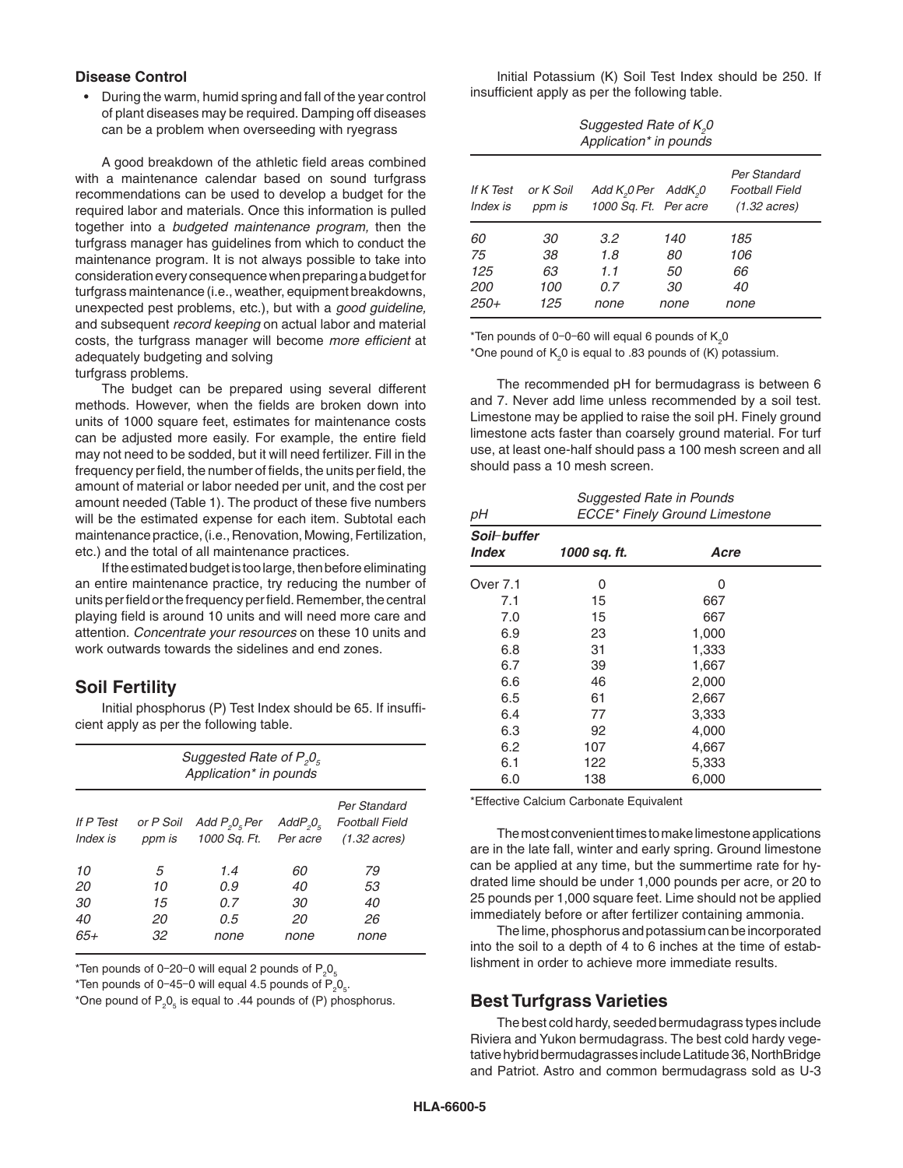#### **Disease Control**

• During the warm, humid spring and fall of the year control of plant diseases may be required. Damping off diseases can be a problem when overseeding with ryegrass

A good breakdown of the athletic field areas combined with a maintenance calendar based on sound turfgrass recommendations can be used to develop a budget for the required labor and materials. Once this information is pulled together into a *budgeted maintenance program,* then the turfgrass manager has guidelines from which to conduct the maintenance program. It is not always possible to take into consideration every consequence when preparing a budget for turfgrass maintenance (i.e., weather, equipment breakdowns, unexpected pest problems, etc.), but with a *good guideline,*  and subsequent *record keeping* on actual labor and material costs, the turfgrass manager will become *more efficient* at adequately budgeting and solving

turfgrass problems.

The budget can be prepared using several different methods. However, when the fields are broken down into units of 1000 square feet, estimates for maintenance costs can be adjusted more easily. For example, the entire field may not need to be sodded, but it will need fertilizer. Fill in the frequency per field, the number of fields, the units per field, the amount of material or labor needed per unit, and the cost per amount needed (Table 1). The product of these five numbers will be the estimated expense for each item. Subtotal each maintenance practice, (i.e., Renovation, Mowing, Fertilization, etc.) and the total of all maintenance practices.

If the estimated budget is too large, then before eliminating an entire maintenance practice, try reducing the number of units per field or the frequency per field. Remember, the central playing field is around 10 units and will need more care and attention. *Concentrate your resources* on these 10 units and work outwards towards the sidelines and end zones.

# **Soil Fertility**

Initial phosphorus (P) Test Index should be 65. If insufficient apply as per the following table.

| Suggested Rate of $P_{g}O_{g}$<br>Application* in pounds |                           |                                              |                              |                                                                 |  |  |  |  |
|----------------------------------------------------------|---------------------------|----------------------------------------------|------------------------------|-----------------------------------------------------------------|--|--|--|--|
| If P Test<br>Index is                                    | or P Soil<br>ppm is       | Add $P_{\rho}O_{\kappa}$ Per<br>1000 Sq. Ft. | $AddP_{2}O_{5}$<br>Per acre  | Per Standard<br><b>Football Field</b><br>$(1.32 \text{ acres})$ |  |  |  |  |
| 10<br>20<br>30<br>40<br>$65+$                            | 5<br>10<br>15<br>20<br>32 | 1.4<br>0.9<br>0.7<br>0.5<br>none             | 60<br>40<br>30<br>20<br>none | 79<br>53<br>40<br>26<br>none                                    |  |  |  |  |

\*Ten pounds of 0-20-0 will equal 2 pounds of  $\mathsf{P}_2\mathsf{O}_5$ 

\*Ten pounds of 0-45-0 will equal 4.5 pounds of  $P_2O_5$ .

\*One pound of  $P_2O_5$  is equal to .44 pounds of (P) phosphorus.

Initial Potassium (K) Soil Test Index should be 250. If insufficient apply as per the following table.

| Suggested Rate of K <sub>2</sub> 0<br>Application* in pounds |                              |                                                    |                               |                                                                 |  |  |  |
|--------------------------------------------------------------|------------------------------|----------------------------------------------------|-------------------------------|-----------------------------------------------------------------|--|--|--|
| If K Test<br>Index is                                        | or K Soil<br>ppm is          | Add $K_0$ $Per$ Add $K_0$<br>1000 Sq. Ft. Per acre |                               | Per Standard<br><b>Football Field</b><br>$(1.32 \text{ acres})$ |  |  |  |
| 60<br>75<br>125<br><i>200</i><br>$250+$                      | 30<br>38<br>63<br>100<br>125 | 3.2<br>1.8<br>11<br>0.7<br>none                    | 140<br>80<br>50<br>30<br>none | 185<br>106<br>66<br>40<br>none                                  |  |  |  |

\*Ten pounds of 0-0-60 will equal 6 pounds of  $\mathsf{K}_{2}$ 0 \*One pound of  $K_2$ 0 is equal to .83 pounds of (K) potassium.

The recommended pH for bermudagrass is between 6 and 7. Never add lime unless recommended by a soil test. Limestone may be applied to raise the soil pH. Finely ground limestone acts faster than coarsely ground material. For turf use, at least one-half should pass a 100 mesh screen and all should pass a 10 mesh screen.

| рH                                 | Suggested Rate in Pounds<br><b>ECCE*</b> Finely Ground Limestone |       |  |  |  |  |  |
|------------------------------------|------------------------------------------------------------------|-------|--|--|--|--|--|
| Soil-buffer<br><i><b>Index</b></i> | 1000 sq. ft.                                                     | Acre  |  |  |  |  |  |
| Over 7.1                           | 0                                                                | 0     |  |  |  |  |  |
| 7.1                                | 15                                                               | 667   |  |  |  |  |  |
| 7.0                                | 15                                                               | 667   |  |  |  |  |  |
| 6.9                                | 23                                                               | 1,000 |  |  |  |  |  |
| 6.8                                | 31                                                               | 1,333 |  |  |  |  |  |
| 6.7                                | 39                                                               | 1,667 |  |  |  |  |  |
| 6.6                                | 46                                                               | 2,000 |  |  |  |  |  |
| 6.5                                | 61                                                               | 2,667 |  |  |  |  |  |
| 6.4                                | 77                                                               | 3,333 |  |  |  |  |  |
| 6.3                                | 92                                                               | 4,000 |  |  |  |  |  |
| 6.2                                | 107                                                              | 4,667 |  |  |  |  |  |
| 6.1                                | 122                                                              | 5,333 |  |  |  |  |  |
| 6.0                                | 138                                                              | 6,000 |  |  |  |  |  |

\*Effective Calcium Carbonate Equivalent

The most convenient times to make limestone applications are in the late fall, winter and early spring. Ground limestone can be applied at any time, but the summertime rate for hydrated lime should be under 1,000 pounds per acre, or 20 to 25 pounds per 1,000 square feet. Lime should not be applied immediately before or after fertilizer containing ammonia.

The lime, phosphorus and potassium can be incorporated into the soil to a depth of 4 to 6 inches at the time of establishment in order to achieve more immediate results.

# **Best Turfgrass Varieties**

The best cold hardy, seeded bermudagrass types include Riviera and Yukon bermudagrass. The best cold hardy vegetative hybrid bermudagrasses include Latitude 36, NorthBridge and Patriot. Astro and common bermudagrass sold as U-3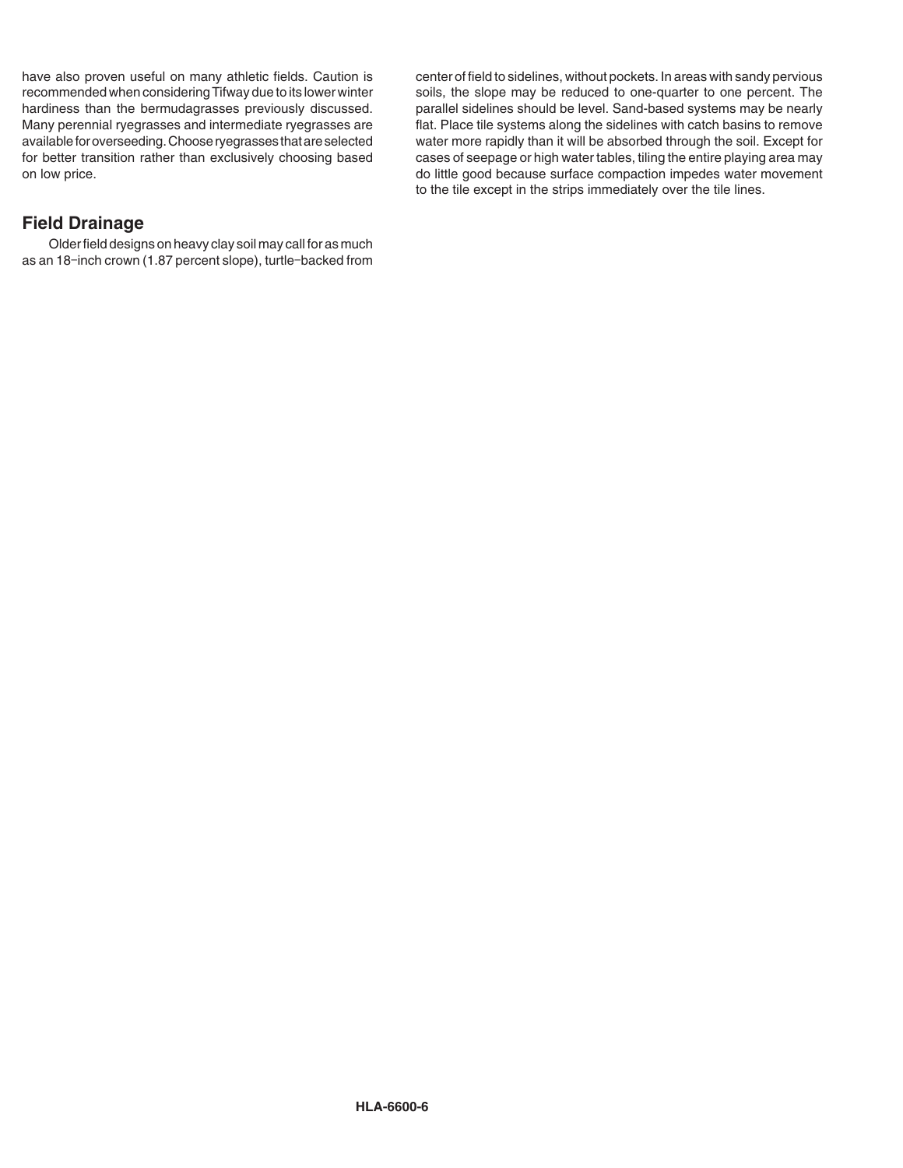have also proven useful on many athletic fields. Caution is recommended when considering Tifway due to its lower winter hardiness than the bermudagrasses previously discussed. Many perennial ryegrasses and intermediate ryegrasses are available for overseeding. Choose ryegrasses that are selected for better transition rather than exclusively choosing based on low price.

# **Field Drainage**

Older field designs on heavy clay soil may call for as much as an 18-inch crown (1.87 percent slope), turtle-backed from

center of field to sidelines, without pockets. In areas with sandy pervious soils, the slope may be reduced to one-quarter to one percent. The parallel sidelines should be level. Sand-based systems may be nearly flat. Place tile systems along the sidelines with catch basins to remove water more rapidly than it will be absorbed through the soil. Except for cases of seepage or high water tables, tiling the entire playing area may do little good because surface compaction impedes water movement to the tile except in the strips immediately over the tile lines.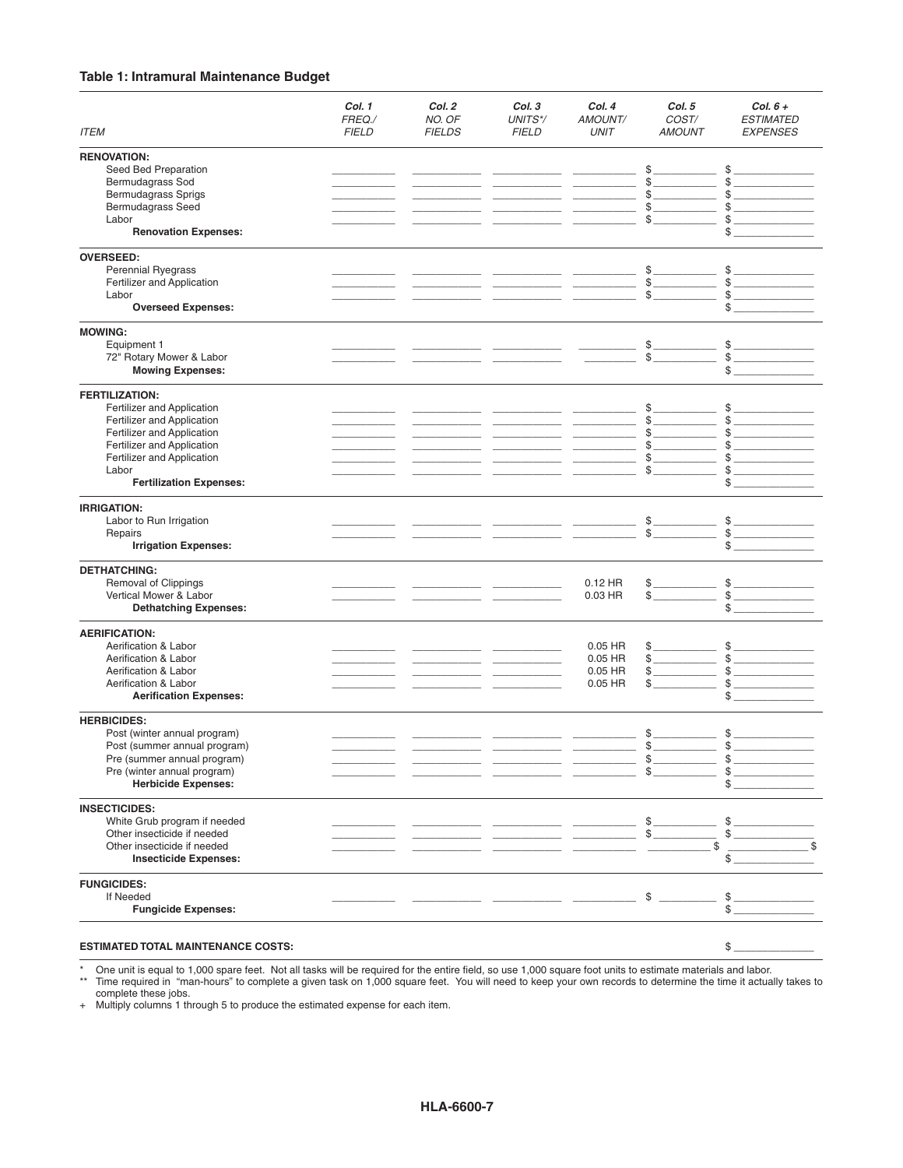## **Table 1: Intramural Maintenance Budget**

| <b>ITEM</b>                                | Col. 1<br>FREQ./<br><b>FIELD</b> | Col. 2<br>NO. OF<br><b>FIELDS</b> | Col. 3<br>UNITS*/<br><b>FIELD</b>                           | Col. 4<br>AMOUNT/<br><b>UNIT</b> | Col. 5<br>COST/<br><b>AMOUNT</b> | Col. $6 +$<br><b>ESTIMATED</b><br><b>EXPENSES</b> |
|--------------------------------------------|----------------------------------|-----------------------------------|-------------------------------------------------------------|----------------------------------|----------------------------------|---------------------------------------------------|
|                                            |                                  |                                   |                                                             |                                  |                                  |                                                   |
| <b>RENOVATION:</b><br>Seed Bed Preparation |                                  |                                   |                                                             |                                  | \$                               | \$                                                |
| Bermudagrass Sod                           |                                  |                                   |                                                             |                                  | $\mathbb{S}$                     | \$                                                |
| <b>Bermudagrass Sprigs</b>                 |                                  |                                   |                                                             |                                  | \$                               |                                                   |
| <b>Bermudagrass Seed</b>                   |                                  |                                   |                                                             |                                  | \$                               |                                                   |
| Labor                                      |                                  |                                   |                                                             |                                  | \$                               |                                                   |
| <b>Renovation Expenses:</b>                |                                  |                                   |                                                             |                                  |                                  | \$                                                |
| <b>OVERSEED:</b>                           |                                  |                                   |                                                             |                                  |                                  |                                                   |
| Perennial Ryegrass                         |                                  |                                   |                                                             |                                  | \$                               |                                                   |
| Fertilizer and Application                 |                                  |                                   |                                                             |                                  | \$<br>$\overline{\phantom{a}}$   |                                                   |
| Labor                                      |                                  |                                   |                                                             |                                  | \$                               |                                                   |
| <b>Overseed Expenses:</b>                  |                                  |                                   |                                                             |                                  |                                  |                                                   |
| <b>MOWING:</b>                             |                                  |                                   |                                                             |                                  |                                  |                                                   |
| Equipment 1                                |                                  |                                   |                                                             |                                  | $\frac{1}{2}$                    | $$$ $-$                                           |
| 72" Rotary Mower & Labor                   |                                  |                                   |                                                             |                                  | \$                               | \$<br>$\overline{\phantom{a}}$                    |
| <b>Mowing Expenses:</b>                    |                                  |                                   |                                                             |                                  |                                  |                                                   |
| <b>FERTILIZATION:</b>                      |                                  |                                   |                                                             |                                  |                                  |                                                   |
| Fertilizer and Application                 |                                  |                                   |                                                             |                                  | \$                               | \$                                                |
| Fertilizer and Application                 |                                  |                                   |                                                             |                                  | \$                               | \$                                                |
| Fertilizer and Application                 |                                  |                                   |                                                             | $\overline{\phantom{a}}$         | \$                               |                                                   |
| Fertilizer and Application                 |                                  |                                   |                                                             |                                  | \$                               |                                                   |
| Fertilizer and Application                 |                                  |                                   |                                                             |                                  | \$                               |                                                   |
| Labor                                      |                                  |                                   |                                                             |                                  |                                  |                                                   |
| <b>Fertilization Expenses:</b>             |                                  |                                   |                                                             |                                  |                                  | \$                                                |
| <b>IRRIGATION:</b>                         |                                  |                                   |                                                             |                                  |                                  |                                                   |
| Labor to Run Irrigation                    |                                  |                                   |                                                             |                                  | \$                               | $\frac{3}{2}$                                     |
| Repairs                                    |                                  |                                   |                                                             |                                  | \$                               | \$                                                |
| <b>Irrigation Expenses:</b>                |                                  |                                   |                                                             |                                  |                                  |                                                   |
| <b>DETHATCHING:</b>                        |                                  |                                   |                                                             |                                  |                                  |                                                   |
| Removal of Clippings                       |                                  |                                   |                                                             | $0.12$ HR                        | \$.                              | $\frac{1}{2}$                                     |
| Vertical Mower & Labor                     |                                  |                                   |                                                             | 0.03 HR                          | \$                               | \$                                                |
| <b>Dethatching Expenses:</b>               |                                  |                                   |                                                             |                                  |                                  |                                                   |
| <b>AERIFICATION:</b>                       |                                  |                                   |                                                             |                                  |                                  |                                                   |
| Aerification & Labor                       |                                  |                                   |                                                             | $0.05$ HR                        | \$                               | \$                                                |
| Aerification & Labor                       |                                  |                                   |                                                             | $0.05$ HR                        | <u> Liberal Colle</u>            | \$                                                |
| Aerification & Labor                       |                                  |                                   |                                                             | $0.05$ HR                        | \$                               | \$                                                |
| Aerification & Labor                       |                                  |                                   |                                                             | $0.05$ HR                        | \$                               |                                                   |
| <b>Aerification Expenses:</b>              |                                  |                                   |                                                             |                                  |                                  |                                                   |
| <b>HERBICIDES:</b>                         |                                  |                                   |                                                             |                                  |                                  |                                                   |
| Post (winter annual program)               |                                  |                                   |                                                             |                                  | \$                               | \$                                                |
| Post (summer annual program)               |                                  |                                   |                                                             |                                  | \$                               | \$                                                |
| Pre (summer annual program)                |                                  |                                   |                                                             |                                  | \$                               |                                                   |
| Pre (winter annual program)                |                                  |                                   |                                                             |                                  | \$                               |                                                   |
| <b>Herbicide Expenses:</b>                 |                                  |                                   |                                                             |                                  |                                  | \$                                                |
| <b>INSECTICIDES:</b>                       |                                  |                                   |                                                             |                                  |                                  |                                                   |
| White Grub program if needed               |                                  |                                   |                                                             |                                  |                                  | \$                                                |
| Other insecticide if needed                |                                  |                                   | <u> 1989 - Andrea Stein, amerikansk politiker (d. 1989)</u> |                                  | s                                | $\frac{1}{2}$                                     |
| Other insecticide if needed                |                                  |                                   |                                                             |                                  | \$                               |                                                   |
| <b>Insecticide Expenses:</b>               |                                  |                                   |                                                             |                                  |                                  | \$                                                |
| <b>FUNGICIDES:</b>                         |                                  |                                   |                                                             |                                  |                                  |                                                   |
| If Needed                                  |                                  |                                   |                                                             |                                  | \$                               | \$                                                |
| <b>Fungicide Expenses:</b>                 |                                  |                                   |                                                             |                                  |                                  | \$                                                |
|                                            |                                  |                                   |                                                             |                                  |                                  |                                                   |

#### **ESTIMATED TOTAL MAINTENANCE COSTS:**  $\text{\$}$

\* One unit is equal to 1,000 spare feet. Not all tasks will be required for the entire field, so use 1,000 square foot units to estimate materials and labor.

\*\* Time required in "man-hours" to complete a given task on 1,000 square feet. You will need to keep your own records to determine the time it actually takes to complete these jobs.

+ Multiply columns 1 through 5 to produce the estimated expense for each item.